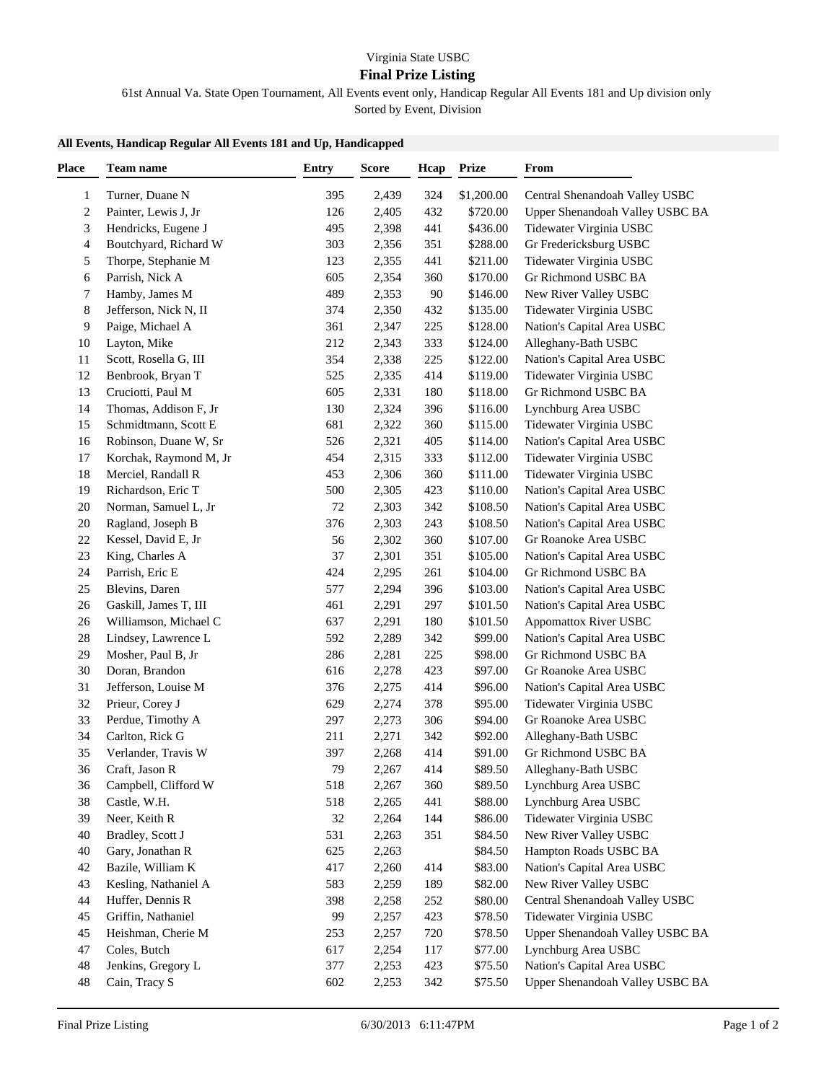## **Final Prize Listing**

61st Annual Va. State Open Tournament, All Events event only, Handicap Regular All Events 181 and Up division only

Sorted by Event, Division

## **All Events, Handicap Regular All Events 181 and Up, Handicapped**

| <b>Place</b> | Team name              | <b>Entry</b> | ${\bf Score}$ | Hcap | <b>Prize</b> | From                            |
|--------------|------------------------|--------------|---------------|------|--------------|---------------------------------|
| 1            | Turner, Duane N        | 395          | 2,439         | 324  | \$1,200.00   | Central Shenandoah Valley USBC  |
| 2            | Painter, Lewis J, Jr   | 126          | 2,405         | 432  | \$720.00     | Upper Shenandoah Valley USBC BA |
| 3            | Hendricks, Eugene J    | 495          | 2,398         | 441  | \$436.00     | Tidewater Virginia USBC         |
| 4            | Boutchyard, Richard W  | 303          | 2,356         | 351  | \$288.00     | Gr Fredericksburg USBC          |
| 5            | Thorpe, Stephanie M    | 123          | 2,355         | 441  | \$211.00     | Tidewater Virginia USBC         |
| 6            | Parrish, Nick A        | 605          | 2,354         | 360  | \$170.00     | Gr Richmond USBC BA             |
| 7            | Hamby, James M         | 489          | 2,353         | 90   | \$146.00     | New River Valley USBC           |
| 8            | Jefferson, Nick N, II  | 374          | 2,350         | 432  | \$135.00     | Tidewater Virginia USBC         |
| 9            | Paige, Michael A       | 361          | 2,347         | 225  | \$128.00     | Nation's Capital Area USBC      |
| 10           | Layton, Mike           | 212          | 2,343         | 333  | \$124.00     | Alleghany-Bath USBC             |
| 11           | Scott, Rosella G, III  | 354          | 2,338         | 225  | \$122.00     | Nation's Capital Area USBC      |
| 12           | Benbrook, Bryan T      | 525          | 2,335         | 414  | \$119.00     | Tidewater Virginia USBC         |
| 13           | Cruciotti, Paul M      | 605          | 2,331         | 180  | \$118.00     | Gr Richmond USBC BA             |
| 14           | Thomas, Addison F, Jr  | 130          | 2,324         | 396  | \$116.00     | Lynchburg Area USBC             |
| 15           | Schmidtmann, Scott E   | 681          | 2,322         | 360  | \$115.00     | Tidewater Virginia USBC         |
| 16           | Robinson, Duane W, Sr  | 526          | 2,321         | 405  | \$114.00     | Nation's Capital Area USBC      |
| 17           | Korchak, Raymond M, Jr | 454          | 2,315         | 333  | \$112.00     | Tidewater Virginia USBC         |
| 18           | Merciel, Randall R     | 453          | 2,306         | 360  | \$111.00     | Tidewater Virginia USBC         |
| 19           | Richardson, Eric T     | 500          | 2,305         | 423  | \$110.00     | Nation's Capital Area USBC      |
| 20           | Norman, Samuel L, Jr   | 72           | 2,303         | 342  | \$108.50     | Nation's Capital Area USBC      |
| 20           | Ragland, Joseph B      | 376          | 2,303         | 243  | \$108.50     | Nation's Capital Area USBC      |
| $22\,$       | Kessel, David E, Jr    | 56           | 2,302         | 360  | \$107.00     | Gr Roanoke Area USBC            |
| 23           | King, Charles A        | 37           | 2,301         | 351  | \$105.00     | Nation's Capital Area USBC      |
| 24           | Parrish, Eric E        | 424          | 2,295         | 261  | \$104.00     | Gr Richmond USBC BA             |
| 25           | Blevins, Daren         | 577          | 2,294         | 396  | \$103.00     | Nation's Capital Area USBC      |
| 26           | Gaskill, James T, III  | 461          | 2,291         | 297  | \$101.50     | Nation's Capital Area USBC      |
| $26\,$       | Williamson, Michael C  | 637          | 2,291         | 180  | \$101.50     | Appomattox River USBC           |
| 28           | Lindsey, Lawrence L    | 592          | 2,289         | 342  | \$99.00      | Nation's Capital Area USBC      |
| 29           | Mosher, Paul B, Jr     | 286          | 2,281         | 225  | \$98.00      | Gr Richmond USBC BA             |
| 30           | Doran, Brandon         | 616          | 2,278         | 423  | \$97.00      | Gr Roanoke Area USBC            |
| 31           | Jefferson, Louise M    | 376          | 2,275         | 414  | \$96.00      | Nation's Capital Area USBC      |
| 32           | Prieur, Corey J        | 629          | 2,274         | 378  | \$95.00      | Tidewater Virginia USBC         |
| 33           | Perdue, Timothy A      | 297          | 2,273         | 306  | \$94.00      | Gr Roanoke Area USBC            |
| 34           | Carlton, Rick G        | 211          | 2,271         | 342  | \$92.00      | Alleghany-Bath USBC             |
| 35           | Verlander, Travis W    | 397          | 2,268         | 414  | \$91.00      | Gr Richmond USBC BA             |
| 36           | Craft, Jason R         | 79           | 2,267         | 414  | \$89.50      | Alleghany-Bath USBC             |
| 36           | Campbell, Clifford W   | 518          | 2,267         | 360  | \$89.50      | Lynchburg Area USBC             |
| 38           | Castle, W.H.           | 518          | 2,265         | 441  | \$88.00      | Lynchburg Area USBC             |
| 39           | Neer, Keith R          | 32           | 2,264         | 144  | \$86.00      | Tidewater Virginia USBC         |
| 40           | Bradley, Scott J       | 531          | 2,263         | 351  | \$84.50      | New River Valley USBC           |
| 40           | Gary, Jonathan R       | 625          | 2,263         |      | \$84.50      | Hampton Roads USBC BA           |
| 42           | Bazile, William K      | 417          | 2,260         | 414  | \$83.00      | Nation's Capital Area USBC      |
| 43           | Kesling, Nathaniel A   | 583          | 2,259         | 189  | \$82.00      | New River Valley USBC           |
| 44           | Huffer, Dennis R       | 398          | 2,258         | 252  | \$80.00      | Central Shenandoah Valley USBC  |
| 45           | Griffin, Nathaniel     | 99           | 2,257         | 423  | \$78.50      | Tidewater Virginia USBC         |
| 45           | Heishman, Cherie M     | 253          | 2,257         | 720  | \$78.50      | Upper Shenandoah Valley USBC BA |
| 47           | Coles, Butch           | 617          | 2,254         | 117  | \$77.00      | Lynchburg Area USBC             |
| 48           | Jenkins, Gregory L     | 377          | 2,253         | 423  | \$75.50      | Nation's Capital Area USBC      |
| 48           | Cain, Tracy S          | 602          | 2,253         | 342  | \$75.50      | Upper Shenandoah Valley USBC BA |
|              |                        |              |               |      |              |                                 |